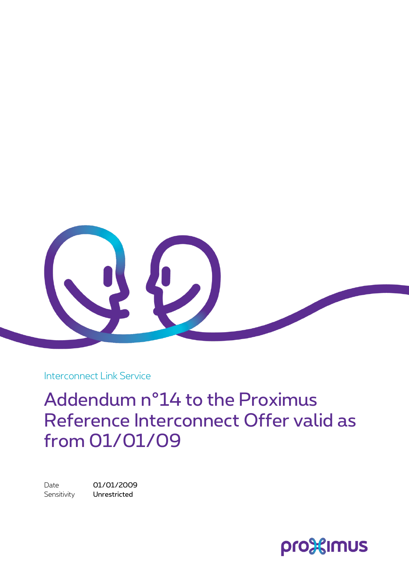

Interconnect Link Service

Addendum n°14 to the Proximus Reference Interconnect Offer valid as from 01/01/09

Date 01/01/2009 Sensitivity **Unrestricted** 

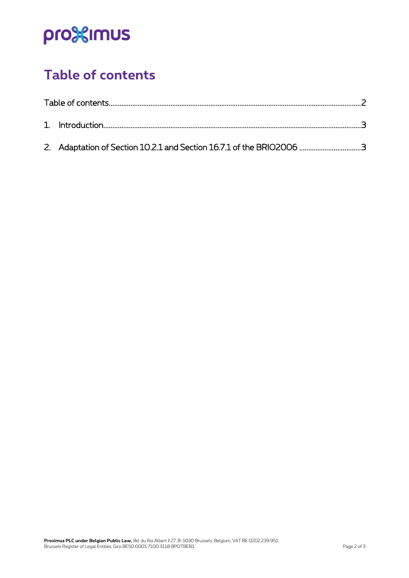# pro<sup>32</sup>imus

### <span id="page-1-0"></span>**Table of contents**

|  | 2. Adaptation of Section 10.2.1 and Section 16.7.1 of the BRIO2006 3 |  |
|--|----------------------------------------------------------------------|--|